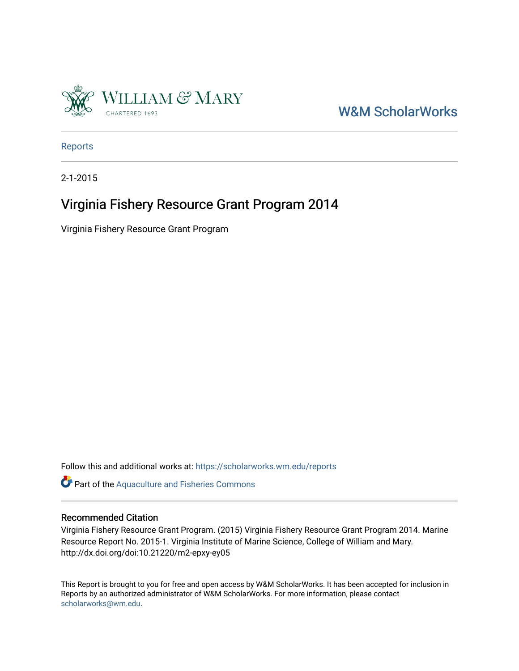

[W&M ScholarWorks](https://scholarworks.wm.edu/) 

[Reports](https://scholarworks.wm.edu/reports)

2-1-2015

# Virginia Fishery Resource Grant Program 2014

Virginia Fishery Resource Grant Program

Follow this and additional works at: [https://scholarworks.wm.edu/reports](https://scholarworks.wm.edu/reports?utm_source=scholarworks.wm.edu%2Freports%2F1477&utm_medium=PDF&utm_campaign=PDFCoverPages)

Part of the [Aquaculture and Fisheries Commons](http://network.bepress.com/hgg/discipline/78?utm_source=scholarworks.wm.edu%2Freports%2F1477&utm_medium=PDF&utm_campaign=PDFCoverPages)

#### Recommended Citation

Virginia Fishery Resource Grant Program. (2015) Virginia Fishery Resource Grant Program 2014. Marine Resource Report No. 2015-1. Virginia Institute of Marine Science, College of William and Mary. http://dx.doi.org/doi:10.21220/m2-epxy-ey05

This Report is brought to you for free and open access by W&M ScholarWorks. It has been accepted for inclusion in Reports by an authorized administrator of W&M ScholarWorks. For more information, please contact [scholarworks@wm.edu.](mailto:scholarworks@wm.edu)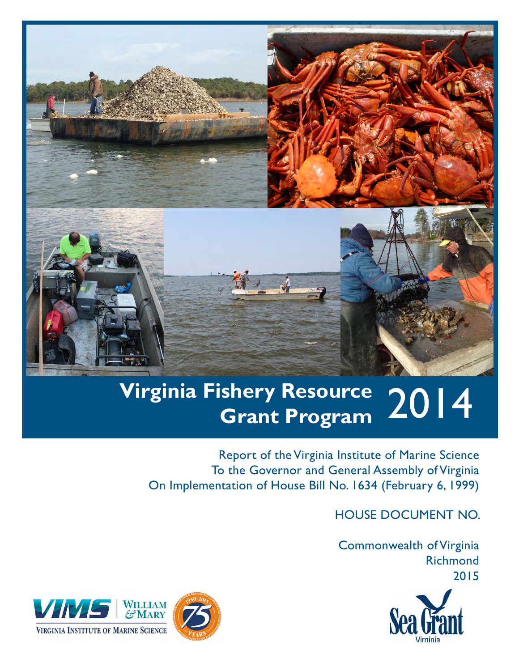

# **Virginia Fishery Resource Grant Program** 2014

Report of the Virginia Institute of Marine Science To the Governor and General Assembly of Virginia On Implementation of House Bill No. 1634 (February 6, 1999)

HOUSE DOCUMENT NO.

Commonwealth of Virginia **Richmond** 2015



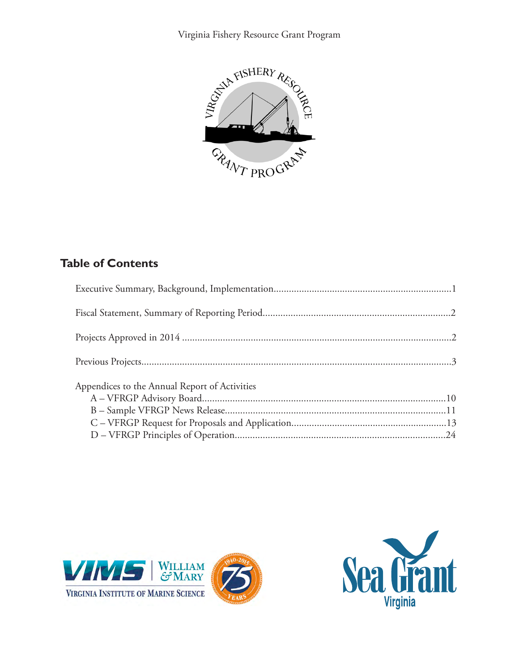

# **Table of Contents**

| Appendices to the Annual Report of Activities |  |
|-----------------------------------------------|--|



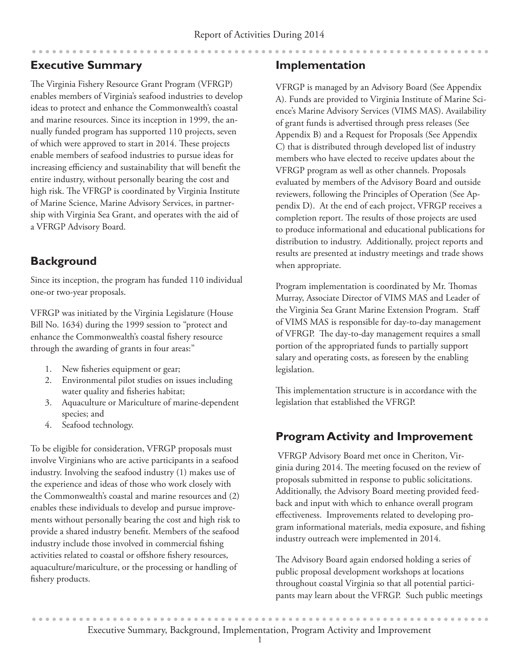# **Executive Summary**

The Virginia Fishery Resource Grant Program (VFRGP) enables members of Virginia's seafood industries to develop ideas to protect and enhance the Commonwealth's coastal and marine resources. Since its inception in 1999, the annually funded program has supported 110 projects, seven of which were approved to start in 2014. These projects enable members of seafood industries to pursue ideas for increasing efficiency and sustainability that will benefit the entire industry, without personally bearing the cost and high risk. The VFRGP is coordinated by Virginia Institute of Marine Science, Marine Advisory Services, in partnership with Virginia Sea Grant, and operates with the aid of a VFRGP Advisory Board.

# **Background**

Since its inception, the program has funded 110 individual one-or two-year proposals.

VFRGP was initiated by the Virginia Legislature (House Bill No. 1634) during the 1999 session to "protect and enhance the Commonwealth's coastal fishery resource through the awarding of grants in four areas:"

- 1. New fisheries equipment or gear;
- 2. Environmental pilot studies on issues including water quality and fisheries habitat;
- 3. Aquaculture or Mariculture of marine-dependent species; and
- 4. Seafood technology.

To be eligible for consideration, VFRGP proposals must involve Virginians who are active participants in a seafood industry. Involving the seafood industry (1) makes use of the experience and ideas of those who work closely with the Commonwealth's coastal and marine resources and (2) enables these individuals to develop and pursue improvements without personally bearing the cost and high risk to provide a shared industry benefit. Members of the seafood industry include those involved in commercial fishing activities related to coastal or offshore fishery resources, aquaculture/mariculture, or the processing or handling of fishery products.

# **Implementation**

VFRGP is managed by an Advisory Board (See Appendix A). Funds are provided to Virginia Institute of Marine Science's Marine Advisory Services (VIMS MAS). Availability of grant funds is advertised through press releases (See Appendix B) and a Request for Proposals (See Appendix C) that is distributed through developed list of industry members who have elected to receive updates about the VFRGP program as well as other channels. Proposals evaluated by members of the Advisory Board and outside reviewers, following the Principles of Operation (See Appendix D). At the end of each project, VFRGP receives a completion report. The results of those projects are used to produce informational and educational publications for distribution to industry. Additionally, project reports and results are presented at industry meetings and trade shows when appropriate.

Program implementation is coordinated by Mr. Thomas Murray, Associate Director of VIMS MAS and Leader of the Virginia Sea Grant Marine Extension Program. Staff of VIMS MAS is responsible for day-to-day management of VFRGP. The day-to-day management requires a small portion of the appropriated funds to partially support salary and operating costs, as foreseen by the enabling legislation.

This implementation structure is in accordance with the legislation that established the VFRGP.

# **Program Activity and Improvement**

 VFRGP Advisory Board met once in Cheriton, Virginia during 2014. The meeting focused on the review of proposals submitted in response to public solicitations. Additionally, the Advisory Board meeting provided feedback and input with which to enhance overall program effectiveness. Improvements related to developing program informational materials, media exposure, and fishing industry outreach were implemented in 2014.

The Advisory Board again endorsed holding a series of public proposal development workshops at locations throughout coastal Virginia so that all potential participants may learn about the VFRGP. Such public meetings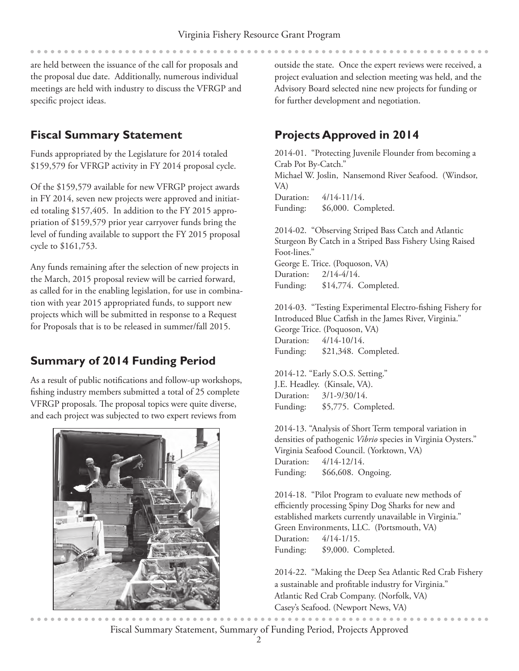are held between the issuance of the call for proposals and the proposal due date. Additionally, numerous individual meetings are held with industry to discuss the VFRGP and specific project ideas.

# **Fiscal Summary Statement**

Funds appropriated by the Legislature for 2014 totaled \$159,579 for VFRGP activity in FY 2014 proposal cycle.

Of the \$159,579 available for new VFRGP project awards in FY 2014, seven new projects were approved and initiated totaling \$157,405. In addition to the FY 2015 appropriation of \$159,579 prior year carryover funds bring the level of funding available to support the FY 2015 proposal cycle to \$161,753.

Any funds remaining after the selection of new projects in the March, 2015 proposal review will be carried forward, as called for in the enabling legislation, for use in combination with year 2015 appropriated funds, to support new projects which will be submitted in response to a Request for Proposals that is to be released in summer/fall 2015.

# **Summary of 2014 Funding Period**

As a result of public notifications and follow-up workshops, fishing industry members submitted a total of 25 complete VFRGP proposals. The proposal topics were quite diverse, and each project was subjected to two expert reviews from



outside the state. Once the expert reviews were received, a project evaluation and selection meeting was held, and the Advisory Board selected nine new projects for funding or for further development and negotiation.

# **Projects Approved in 2014**

2014-01. "Protecting Juvenile Flounder from becoming a Crab Pot By-Catch." Michael W. Joslin, Nansemond River Seafood. (Windsor, VA) Duration: 4/14-11/14. Funding: \$6,000. Completed.

2014-02. "Observing Striped Bass Catch and Atlantic Sturgeon By Catch in a Striped Bass Fishery Using Raised Foot-lines." George E. Trice. (Poquoson, VA) Duration: 2/14-4/14. Funding: \$14,774. Completed.

2014-03. "Testing Experimental Electro-fishing Fishery for Introduced Blue Catfish in the James River, Virginia." George Trice. (Poquoson, VA) Duration: 4/14-10/14. Funding: \$21,348. Completed.

2014-12. "Early S.O.S. Setting." J.E. Headley. (Kinsale, VA). Duration: 3/1-9/30/14. Funding: \$5,775. Completed.

2014-13. "Analysis of Short Term temporal variation in densities of pathogenic *Vibrio* species in Virginia Oysters." Virginia Seafood Council. (Yorktown, VA) Duration: 4/14-12/14. Funding: \$66,608. Ongoing.

2014-18. "Pilot Program to evaluate new methods of efficiently processing Spiny Dog Sharks for new and established markets currently unavailable in Virginia." Green Environments, LLC. (Portsmouth, VA) Duration: 4/14-1/15. Funding: \$9,000. Completed.

2014-22. "Making the Deep Sea Atlantic Red Crab Fishery a sustainable and profitable industry for Virginia." Atlantic Red Crab Company. (Norfolk, VA) Casey's Seafood. (Newport News, VA)

Fiscal Summary Statement, Summary of Funding Period, Projects Approved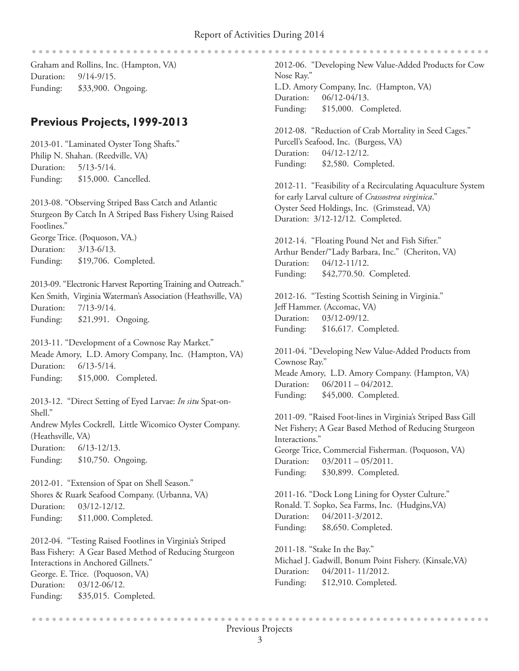Graham and Rollins, Inc. (Hampton, VA) Duration: 9/14-9/15. Funding: \$33,900. Ongoing.

. . . . . . . . . . . .

# **Previous Projects, 1999-2013**

2013-01. "Laminated Oyster Tong Shafts." Philip N. Shahan. (Reedville, VA) Duration: 5/13-5/14. Funding: \$15,000. Cancelled.

2013-08. "Observing Striped Bass Catch and Atlantic Sturgeon By Catch In A Striped Bass Fishery Using Raised Footlines." George Trice. (Poquoson, VA.) Duration: 3/13-6/13. Funding: \$19,706. Completed.

2013-09. "Electronic Harvest Reporting Training and Outreach." Ken Smith, Virginia Waterman's Association (Heathsville, VA) Duration: 7/13-9/14. Funding: \$21,991. Ongoing.

2013-11. "Development of a Cownose Ray Market." Meade Amory, L.D. Amory Company, Inc. (Hampton, VA) Duration: 6/13-5/14. Funding: \$15,000. Completed.

2013-12. "Direct Setting of Eyed Larvae: *In situ* Spat-on-Shell."

Andrew Myles Cockrell, Little Wicomico Oyster Company. (Heathsville, VA)

Duration: 6/13-12/13. Funding: \$10,750. Ongoing.

2012-01. "Extension of Spat on Shell Season." Shores & Ruark Seafood Company. (Urbanna, VA) Duration: 03/12-12/12. Funding: \$11,000. Completed.

2012-04. "Testing Raised Footlines in Virginia's Striped Bass Fishery: A Gear Based Method of Reducing Sturgeon Interactions in Anchored Gillnets." George. E. Trice. (Poquoson, VA) Duration: 03/12-06/12. Funding: \$35,015. Completed.

2012-06. "Developing New Value-Added Products for Cow Nose Ray." L.D. Amory Company, Inc. (Hampton, VA) Duration: 06/12-04/13. Funding: \$15,000. Completed.

. . . . . . . . . . . .

2012-08. "Reduction of Crab Mortality in Seed Cages." Purcell's Seafood, Inc. (Burgess, VA) Duration: 04/12-12/12. Funding: \$2,580. Completed.

2012-11. "Feasibility of a Recirculating Aquaculture System for early Larval culture of *Crassostrea virginica*." Oyster Seed Holdings, Inc. (Grimstead, VA) Duration: 3/12-12/12. Completed.

2012-14. "Floating Pound Net and Fish Sifter." Arthur Bender/"Lady Barbara, Inc." (Cheriton, VA) Duration: 04/12-11/12. Funding: \$42,770.50. Completed.

2012-16. "Testing Scottish Seining in Virginia." Jeff Hammer. (Accomac, VA) Duration: 03/12-09/12. Funding: \$16,617. Completed.

2011-04. "Developing New Value-Added Products from Cownose Ray." Meade Amory, L.D. Amory Company. (Hampton, VA) Duration: 06/2011 – 04/2012. Funding: \$45,000. Completed.

2011-09. "Raised Foot-lines in Virginia's Striped Bass Gill Net Fishery; A Gear Based Method of Reducing Sturgeon Interactions." George Trice, Commercial Fisherman. (Poquoson, VA) Duration: 03/2011 – 05/2011. Funding: \$30,899. Completed.

2011-16. "Dock Long Lining for Oyster Culture." Ronald. T. Sopko, Sea Farms, Inc. (Hudgins,VA) Duration: 04/2011-3/2012. Funding: \$8,650. Completed.

2011-18. "Stake In the Bay." Michael J. Gadwill, Bonum Point Fishery. (Kinsale,VA) Duration: 04/2011- 11/2012. Funding: \$12,910. Completed.

.......................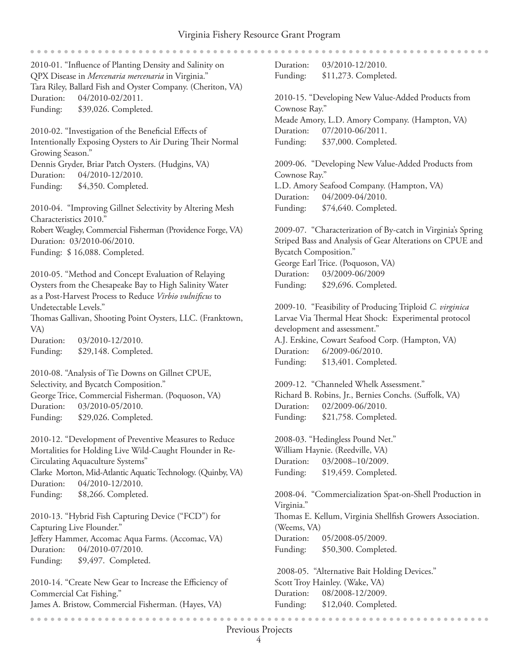. . . . . . . . . . . . . . . . . . Duration: 03/2010-12/2010. 2010-01. "Influence of Planting Density and Salinity on QPX Disease in *Mercenaria mercenaria* in Virginia." Tara Riley, Ballard Fish and Oyster Company. (Cheriton, VA) Duration: 04/2010-02/2011. Funding: \$39,026. Completed. Cownose Ray." 2010-02. "Investigation of the Beneficial Effects of Intentionally Exposing Oysters to Air During Their Normal Growing Season." Dennis Gryder, Briar Patch Oysters. (Hudgins, VA) Duration: 04/2010-12/2010. Cownose Ray." Funding: \$4,350. Completed. 2010-04. "Improving Gillnet Selectivity by Altering Mesh Characteristics 2010." Robert Weagley, Commercial Fisherman (Providence Forge, VA) Duration: 03/2010-06/2010. Funding: \$ 16,088. Completed. Bycatch Composition." 2010-05. "Method and Concept Evaluation of Relaying Oysters from the Chesapeake Bay to High Salinity Water as a Post-Harvest Process to Reduce *Virbio vulnificus* to Undetectable Levels." Thomas Gallivan, Shooting Point Oysters, LLC. (Franktown, development and assessment." VA) Duration: 03/2010-12/2010. Funding: \$29,148. Completed. 2010-08. "Analysis of Tie Downs on Gillnet CPUE, Selectivity, and Bycatch Composition." George Trice, Commercial Fisherman. (Poquoson, VA) Duration: 03/2010-05/2010. Funding: \$29,026. Completed. 2010-12. "Development of Preventive Measures to Reduce Mortalities for Holding Live Wild-Caught Flounder in Re-Circulating Aquaculture Systems" Clarke Morton, Mid-Atlantic Aquatic Technology. (Quinby, VA) Duration: 04/2010-12/2010. Funding: \$8,266. Completed. Virginia." 2010-13. "Hybrid Fish Capturing Device ("FCD") for Capturing Live Flounder." (Weems, VA) Jeffery Hammer, Accomac Aqua Farms. (Accomac, VA) Duration: 04/2010-07/2010. Funding: \$9,497. Completed. 2010-14. "Create New Gear to Increase the Efficiency of Commercial Cat Fishing." James A. Bristow, Commercial Fisherman. (Hayes, VA)

Funding: \$11,273. Completed.

2010-15. "Developing New Value-Added Products from Meade Amory, L.D. Amory Company. (Hampton, VA) Duration: 07/2010-06/2011. Funding: \$37,000. Completed.

2009-06. "Developing New Value-Added Products from L.D. Amory Seafood Company. (Hampton, VA) Duration: 04/2009-04/2010. Funding: \$74,640. Completed.

2009-07. "Characterization of By-catch in Virginia's Spring Striped Bass and Analysis of Gear Alterations on CPUE and George Earl Trice. (Poquoson, VA) Duration: 03/2009-06/2009 Funding: \$29,696. Completed.

2009-10. "Feasibility of Producing Triploid *C. virginica* Larvae Via Thermal Heat Shock: Experimental protocol A.J. Erskine, Cowart Seafood Corp. (Hampton, VA) Duration: 6/2009-06/2010. Funding: \$13,401. Completed.

2009-12. "Channeled Whelk Assessment." Richard B. Robins, Jr., Bernies Conchs. (Suffolk, VA) Duration: 02/2009-06/2010. Funding: \$21,758. Completed.

2008-03. "Hedingless Pound Net." William Haynie. (Reedville, VA) Duration: 03/2008–10/2009. Funding: \$19,459. Completed.

2008-04. "Commercialization Spat-on-Shell Production in Thomas E. Kellum, Virginia Shellfish Growers Association. Duration: 05/2008-05/2009. Funding: \$50,300. Completed.

 2008-05. "Alternative Bait Holding Devices." Scott Troy Hainley. (Wake, VA) Duration: 08/2008-12/2009. Funding: \$12,040. Completed.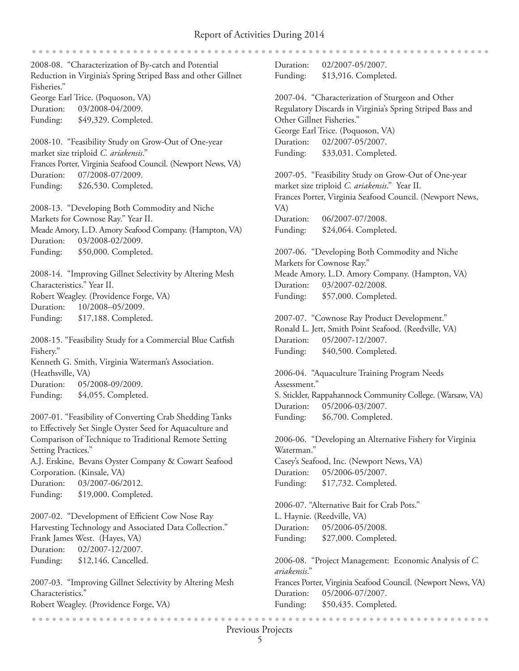. . . . . . . . . . . . . . . . . . . . . . . 2008-08. "Characterization of By-catch and Potential Duration: 02/2007-05/2007. Reduction in Virginia's Spring Striped Bass and other Gillnet Funding: \$13,916. Completed. Fisheries." George Earl Trice. (Poquoson, VA) 2007-04. "Characterization of Sturgeon and Other Duration: 03/2008-04/2009. Regulatory Discards in Virginia's Spring Striped Bass and Funding: \$49,329. Completed. Other Gillnet Fisheries." George Earl Trice. (Poquoson, VA) 2008-10. "Feasibility Study on Grow-Out of One-year Duration: 02/2007-05/2007. market size triploid *C. ariakensis*." Funding: \$33,031. Completed. Frances Porter, Virginia Seafood Council. (Newport News, VA) Duration: 07/2008-07/2009. 2007-05. "Feasibility Study on Grow-Out of One-year market size triploid *C. ariakensis*." Year II. Funding: \$26,530. Completed. Frances Porter, Virginia Seafood Council. (Newport News, 2008-13. "Developing Both Commodity and Niche VA) Markets for Cownose Ray." Year II. Duration: 06/2007-07/2008. Meade Amory, L.D. Amory Seafood Company. (Hampton, VA) Funding: \$24,064. Completed. Duration: 03/2008-02/2009. Funding: \$50,000. Completed. 2007-06. "Developing Both Commodity and Niche Markets for Cownose Ray." 2008-14. "Improving Gillnet Selectivity by Altering Mesh Meade Amory, L.D. Amory Company. (Hampton, VA) Characteristics." Year II. Duration: 03/2007-02/2008. Robert Weagley. (Providence Forge, VA) Funding: \$57,000. Completed. Duration: 10/2008–05/2009. Funding: \$17,188. Completed. 2007-07. "Cownose Ray Product Development." Ronald L. Jett, Smith Point Seafood. (Reedville, VA) Duration: 05/2007-12/2007. 2008-15. "Feasibility Study for a Commercial Blue Catfish Funding: \$40,500. Completed. Fishery." Kenneth G. Smith, Virginia Waterman's Association. (Heathsville, VA) 2006-04. "Aquaculture Training Program Needs Duration: 05/2008-09/2009. Assessment." S. Stickler, Rappahannock Community College. (Warsaw, VA) Funding: \$4,055. Completed. Duration: 05/2006-03/2007. 2007-01. "Feasibility of Converting Crab Shedding Tanks Funding: \$6,700. Completed. to Effectively Set Single Oyster Seed for Aquaculture and Comparison of Technique to Traditional Remote Setting 2006-06. "Developing an Alternative Fishery for Virginia Setting Practices." Waterman." A.J. Erskine, Bevans Oyster Company & Cowart Seafood Casey's Seafood, Inc. (Newport News, VA) Corporation. (Kinsale, VA) Duration: 05/2006-05/2007. Duration: 03/2007-06/2012. Funding: \$17,732. Completed. Funding: \$19,000. Completed. 2006-07. "Alternative Bait for Crab Pots." 2007-02. "Development of Efficient Cow Nose Ray L. Haynie. (Reedville, VA) Harvesting Technology and Associated Data Collection." Duration: 05/2006-05/2008. Frank James West. (Hayes, VA) Funding: \$27,000. Completed. Duration: 02/2007-12/2007. Funding: \$12,146. Cancelled. 2006-08. "Project Management: Economic Analysis of *C. ariakensis*." 2007-03. "Improving Gillnet Selectivity by Altering Mesh Frances Porter, Virginia Seafood Council. (Newport News, VA) Characteristics." Duration: 05/2006-07/2007. Funding: \$50,435. Completed.Robert Weagley. (Providence Forge, VA)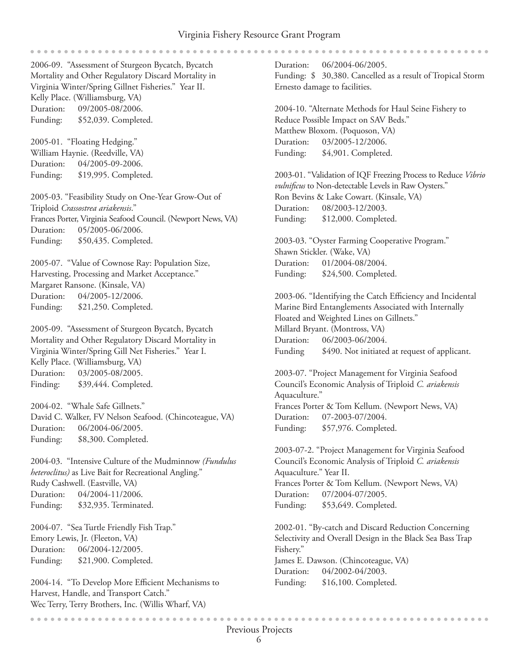2006-09. "Assessment of Sturgeon Bycatch, Bycatch Mortality and Other Regulatory Discard Mortality in Virginia Winter/Spring Gillnet Fisheries." Year II. Kelly Place. (Williamsburg, VA) Duration: 09/2005-08/2006. Funding: \$52,039. Completed.

2005-01. "Floating Hedging." William Haynie. (Reedville, VA) Duration: 04/2005-09-2006. Funding: \$19,995. Completed.

2005-03. "Feasibility Study on One-Year Grow-Out of Triploid *Crassostrea ariakensis*." Frances Porter, Virginia Seafood Council. (Newport News, VA) Duration: 05/2005-06/2006. Funding: \$50,435. Completed.

2005-07. "Value of Cownose Ray: Population Size, Harvesting, Processing and Market Acceptance." Margaret Ransone. (Kinsale, VA) Duration: 04/2005-12/2006. Funding: \$21,250. Completed.

2005-09. "Assessment of Sturgeon Bycatch, Bycatch Mortality and Other Regulatory Discard Mortality in Virginia Winter/Spring Gill Net Fisheries." Year I. Kelly Place. (Williamsburg, VA) Duration: 03/2005-08/2005. Finding: \$39,444. Completed.

2004-02. "Whale Safe Gillnets." David C. Walker, FV Nelson Seafood. (Chincoteague, VA) Duration: 06/2004-06/2005. Funding: \$8,300. Completed.

2004-03. "Intensive Culture of the Mudminnow *(Fundulus heteroclitus)* as Live Bait for Recreational Angling." Rudy Cashwell. (Eastville, VA) Duration: 04/2004-11/2006. Funding: \$32,935. Terminated.

2004-07. "Sea Turtle Friendly Fish Trap." Emory Lewis, Jr. (Fleeton, VA) Duration: 06/2004-12/2005. Funding: \$21,900. Completed.

2004-14. "To Develop More Efficient Mechanisms to Harvest, Handle, and Transport Catch." Wec Terry, Terry Brothers, Inc. (Willis Wharf, VA)

Duration: 06/2004-06/2005. Funding: \$ 30,380. Cancelled as a result of Tropical Storm Ernesto damage to facilities.

2004-10. "Alternate Methods for Haul Seine Fishery to Reduce Possible Impact on SAV Beds." Matthew Bloxom. (Poquoson, VA) Duration: 03/2005-12/2006. Funding: \$4,901. Completed.

2003-01. "Validation of IQF Freezing Process to Reduce *Vibrio vulnificus* to Non-detectable Levels in Raw Oysters." Ron Bevins & Lake Cowart. (Kinsale, VA) Duration: 08/2003-12/2003. Funding: \$12,000. Completed.

2003-03. "Oyster Farming Cooperative Program." Shawn Stickler. (Wake, VA) Duration: 01/2004-08/2004. Funding: \$24,500. Completed.

2003-06. "Identifying the Catch Efficiency and Incidental Marine Bird Entanglements Associated with Internally Floated and Weighted Lines on Gillnets." Millard Bryant. (Montross, VA) Duration: 06/2003-06/2004. Funding  $$490.$  Not initiated at request of applicant.

2003-07. "Project Management for Virginia Seafood Council's Economic Analysis of Triploid *C. ariakensis* Aquaculture." Frances Porter & Tom Kellum. (Newport News, VA) Duration: 07-2003-07/2004. Funding: \$57,976. Completed.

2003-07-2. "Project Management for Virginia Seafood Council's Economic Analysis of Triploid *C. ariakensis* Aquaculture." Year II. Frances Porter & Tom Kellum. (Newport News, VA) Duration: 07/2004-07/2005. Funding: \$53,649. Completed.

2002-01. "By-catch and Discard Reduction Concerning Selectivity and Overall Design in the Black Sea Bass Trap Fishery." James E. Dawson. (Chincoteague, VA) Duration: 04/2002-04/2003. Funding: \$16,100. Completed.

---------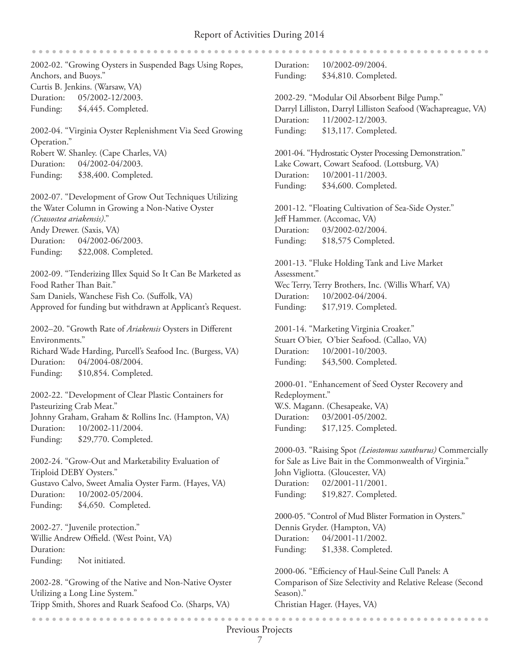2002-02. "Growing Oysters in Suspended Bags Using Ropes, Anchors, and Buoys." Curtis B. Jenkins. (Warsaw, VA) Duration: 05/2002-12/2003. Funding: \$4,445. Completed.

2002-04. "Virginia Oyster Replenishment Via Seed Growing Operation." Robert W. Shanley. (Cape Charles, VA) Duration: 04/2002-04/2003. Funding: \$38,400. Completed.

2002-07. "Development of Grow Out Techniques Utilizing the Water Column in Growing a Non-Native Oyster *(Crassostea ariakensis)*." Andy Drewer. (Saxis, VA) Duration: 04/2002-06/2003. Funding: \$22,008. Completed.

2002-09. "Tenderizing Illex Squid So It Can Be Marketed as Food Rather Than Bait." Sam Daniels, Wanchese Fish Co. (Suffolk, VA) Approved for funding but withdrawn at Applicant's Request.

2002–20. "Growth Rate of *Ariakensis* Oysters in Different Environments." Richard Wade Harding, Purcell's Seafood Inc. (Burgess, VA) Duration: 04/2004-08/2004. Funding: \$10,854. Completed.

2002-22. "Development of Clear Plastic Containers for Pasteurizing Crab Meat." Johnny Graham, Graham & Rollins Inc. (Hampton, VA) Duration: 10/2002-11/2004. Funding: \$29,770. Completed.

2002-24. "Grow-Out and Marketability Evaluation of Triploid DEBY Oysters." Gustavo Calvo, Sweet Amalia Oyster Farm. (Hayes, VA) Duration: 10/2002-05/2004. Funding: \$4,650. Completed.

2002-27. "Juvenile protection." Willie Andrew Offield. (West Point, VA) Duration: Funding: Not initiated.

2002-28. "Growing of the Native and Non-Native Oyster Utilizing a Long Line System." Tripp Smith, Shores and Ruark Seafood Co. (Sharps, VA)

Duration: 10/2002-09/2004. Funding: \$34,810. Completed.

2002-29. "Modular Oil Absorbent Bilge Pump." Darryl Lilliston, Darryl Lilliston Seafood (Wachapreague, VA) Duration: 11/2002-12/2003. Funding: \$13,117. Completed.

. . . . . . . . . . . . .

2001-04. "Hydrostatic Oyster Processing Demonstration." Lake Cowart, Cowart Seafood. (Lottsburg, VA) Duration: 10/2001-11/2003. Funding: \$34,600. Completed.

2001-12. "Floating Cultivation of Sea-Side Oyster." Jeff Hammer. (Accomac, VA) Duration: 03/2002-02/2004. Funding: \$18,575 Completed.

2001-13. "Fluke Holding Tank and Live Market Assessment." Wec Terry, Terry Brothers, Inc. (Willis Wharf, VA) Duration: 10/2002-04/2004. Funding: \$17,919. Completed.

2001-14. "Marketing Virginia Croaker." Stuart O'bier, O'bier Seafood. (Callao, VA) Duration: 10/2001-10/2003. Funding: \$43,500. Completed.

2000-01. "Enhancement of Seed Oyster Recovery and Redeployment." W.S. Magann. (Chesapeake, VA) Duration: 03/2001-05/2002. Funding: \$17,125. Completed.

2000-03. "Raising Spot *(Leiostomus xanthurus)* Commercially for Sale as Live Bait in the Commonwealth of Virginia." John Vigliotta. (Gloucester, VA) Duration: 02/2001-11/2001. Funding: \$19,827. Completed.

2000-05. "Control of Mud Blister Formation in Oysters." Dennis Gryder. (Hampton, VA) Duration: 04/2001-11/2002. Funding: \$1,338. Completed.

2000-06. "Efficiency of Haul-Seine Cull Panels: A Comparison of Size Selectivity and Relative Release (Second Season)." Christian Hager. (Hayes, VA)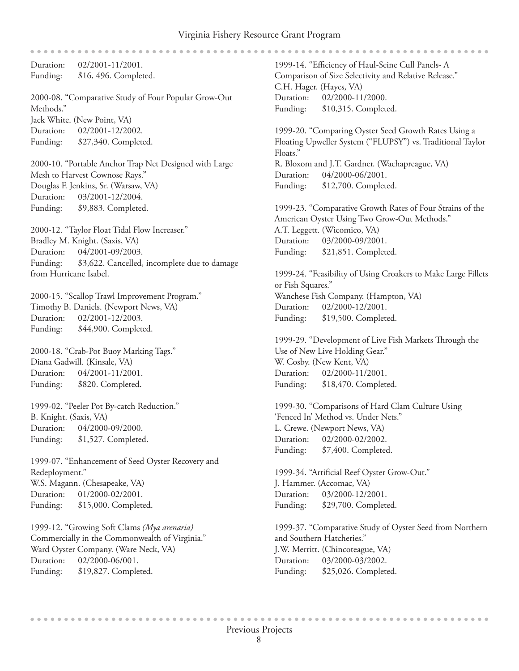. . . . . . . Duration: 02/2001-11/2001. Funding: \$16, 496. Completed. 2000-08. "Comparative Study of Four Popular Grow-Out Methods." Jack White. (New Point, VA) Duration: 02/2001-12/2002. Funding: \$27,340. Completed. 2000-10. "Portable Anchor Trap Net Designed with Large Mesh to Harvest Cownose Rays." Douglas F. Jenkins, Sr. (Warsaw, VA) Duration: 03/2001-12/2004. Funding: \$9,883. Completed. 2000-12. "Taylor Float Tidal Flow Increaser." Bradley M. Knight. (Saxis, VA) Duration: 04/2001-09/2003. Funding: \$3,622. Cancelled, incomplete due to damage from Hurricane Isabel. 2000-15. "Scallop Trawl Improvement Program." Timothy B. Daniels. (Newport News, VA) Duration: 02/2001-12/2003. Funding: \$44,900. Completed. 2000-18. "Crab-Pot Buoy Marking Tags." Diana Gadwill. (Kinsale, VA) Duration: 04/2001-11/2001. Funding: \$820. Completed. 1999-02. "Peeler Pot By-catch Reduction." B. Knight. (Saxis, VA) Duration: 04/2000-09/2000. Funding: \$1,527. Completed. 1999-07. "Enhancement of Seed Oyster Recovery and Redeployment." W.S. Magann. (Chesapeake, VA) Duration: 01/2000-02/2001. Funding: \$15,000. Completed. 1999-12. "Growing Soft Clams *(Mya arenaria)*

Commercially in the Commonwealth of Virginia." Ward Oyster Company. (Ware Neck, VA) Duration: 02/2000-06/001. Funding: \$19,827. Completed.

..................

1999-14. "Efficiency of Haul-Seine Cull Panels- A Comparison of Size Selectivity and Relative Release." C.H. Hager. (Hayes, VA) Duration: 02/2000-11/2000. Funding: \$10,315. Completed.

1999-20. "Comparing Oyster Seed Growth Rates Using a Floating Upweller System ("FLUPSY") vs. Traditional Taylor Floats." R. Bloxom and J.T. Gardner. (Wachapreague, VA) Duration: 04/2000-06/2001. Funding: \$12,700. Completed.

1999-23. "Comparative Growth Rates of Four Strains of the American Oyster Using Two Grow-Out Methods." A.T. Leggett. (Wicomico, VA) Duration: 03/2000-09/2001. Funding: \$21,851. Completed.

1999-24. "Feasibility of Using Croakers to Make Large Fillets or Fish Squares." Wanchese Fish Company. (Hampton, VA) Duration: 02/2000-12/2001. Funding: \$19,500. Completed.

1999-29. "Development of Live Fish Markets Through the Use of New Live Holding Gear." W. Cosby. (New Kent, VA) Duration: 02/2000-11/2001. Funding: \$18,470. Completed.

1999-30. "Comparisons of Hard Clam Culture Using 'Fenced In' Method vs. Under Nets." L. Crewe. (Newport News, VA) Duration: 02/2000-02/2002. Funding: \$7,400. Completed.

1999-34. "Artificial Reef Oyster Grow-Out." J. Hammer. (Accomac, VA) Duration: 03/2000-12/2001. Funding: \$29,700. Completed.

1999-37. "Comparative Study of Oyster Seed from Northern and Southern Hatcheries." J.W. Merritt. (Chincoteague, VA) Duration: 03/2000-03/2002. Funding: \$25,026. Completed.

**\*\*\*\*\*\*\*\*\*\*\*\*\*\*\*\*\*\*\*\***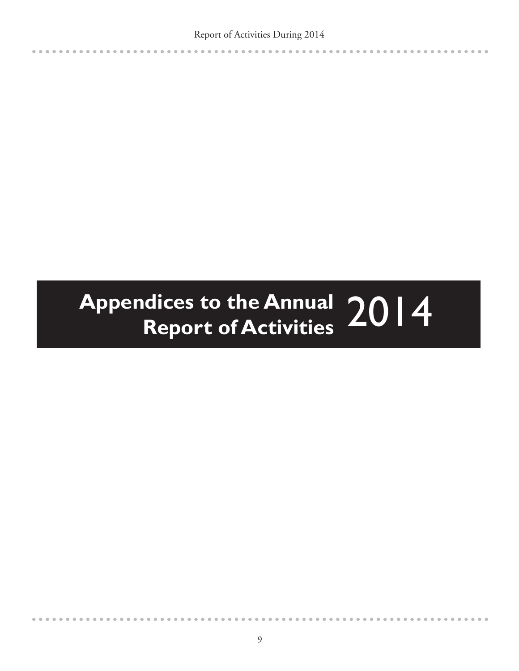Report of Activities During 2014

 $\sim$   $\sim$   $\sim$ 

# **Appendices to the Annual Report of Activities** 2014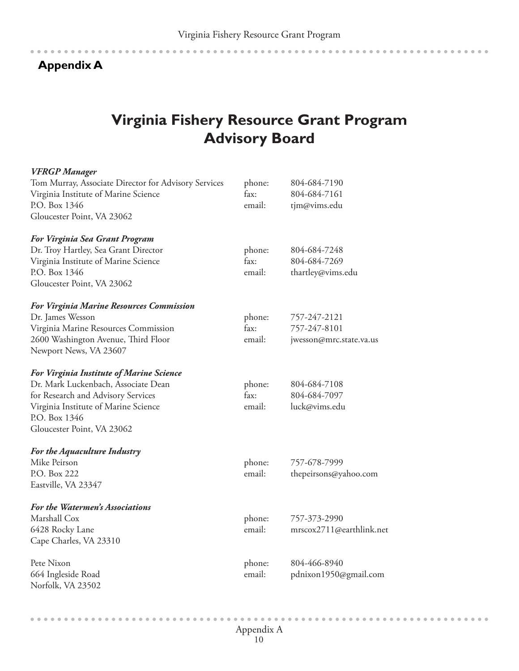$\overline{a}$  $\Delta$  $\Delta$  .......................

 $\sim$  10  $\pm$ 

 $\alpha$  ,  $\alpha$  ,  $\alpha$  ,

**Appendix A**

. . . . . . . . . . .

 $\sim$  $\mathbb{R}$ 

 $\bullet$ 

# **Virginia Fishery Resource Grant Program Advisory Board**

| <b>VFRGP</b> Manager                                 |        |                          |
|------------------------------------------------------|--------|--------------------------|
| Tom Murray, Associate Director for Advisory Services | phone: | 804-684-7190             |
| Virginia Institute of Marine Science                 | fax:   | 804-684-7161             |
| P.O. Box 1346                                        | email: | tjm@vims.edu             |
| Gloucester Point, VA 23062                           |        |                          |
| <b>For Virginia Sea Grant Program</b>                |        |                          |
| Dr. Troy Hartley, Sea Grant Director                 | phone: | 804-684-7248             |
| Virginia Institute of Marine Science                 | fax:   | 804-684-7269             |
| P.O. Box 1346                                        | email: | thartley@vims.edu        |
| Gloucester Point, VA 23062                           |        |                          |
| <b>For Virginia Marine Resources Commission</b>      |        |                          |
| Dr. James Wesson                                     | phone: | 757-247-2121             |
| Virginia Marine Resources Commission                 | fax:   | 757-247-8101             |
| 2600 Washington Avenue, Third Floor                  | email: | jwesson@mrc.state.va.us  |
| Newport News, VA 23607                               |        |                          |
| <b>For Virginia Institute of Marine Science</b>      |        |                          |
| Dr. Mark Luckenbach, Associate Dean                  | phone: | 804-684-7108             |
| for Research and Advisory Services                   | fax:   | 804-684-7097             |
| Virginia Institute of Marine Science                 | email: | luck@vims.edu            |
| P.O. Box 1346                                        |        |                          |
| Gloucester Point, VA 23062                           |        |                          |
| <b>For the Aquaculture Industry</b>                  |        |                          |
| Mike Peirson                                         | phone: | 757-678-7999             |
| P.O. Box 222                                         | email: | thepeirsons@yahoo.com    |
| Eastville, VA 23347                                  |        |                          |
| For the Watermen's Associations                      |        |                          |
| Marshall Cox                                         | phone: | 757-373-2990             |
| 6428 Rocky Lane                                      | email: | mrscox2711@earthlink.net |
| Cape Charles, VA 23310                               |        |                          |
| Pete Nixon                                           | phone: | 804-466-8940             |
| 664 Ingleside Road                                   | email: | pdnixon1950@gmail.com    |
| Norfolk, VA 23502                                    |        |                          |
|                                                      |        |                          |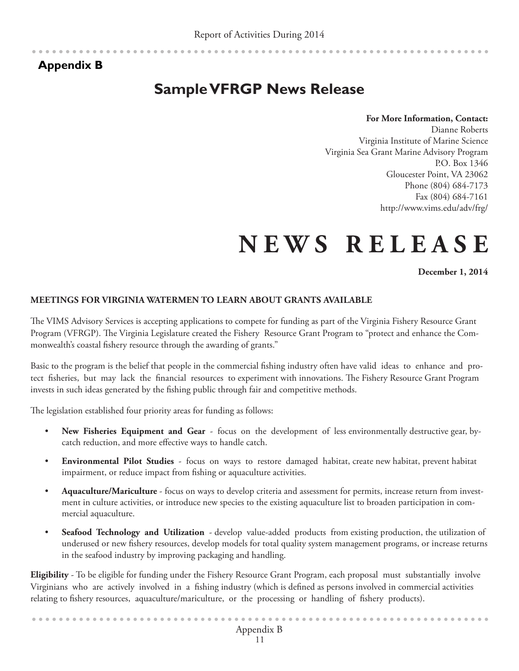# **Appendix B**

# **Sample VFRGP News Release**

#### **For More Information, Contact:**

Dianne Roberts Virginia Institute of Marine Science Virginia Sea Grant Marine Advisory Program P.O. Box 1346 Gloucester Point, VA 23062 Phone (804) 684-7173 Fax (804) 684-7161 http://www.vims.edu/adv/frg/

# **N E W S R E L E A S E**

**December 1, 2014**

#### **MEETINGS FOR VIRGINIA WATERMEN TO LEARN ABOUT GRANTS AVAILABLE**

The VIMS Advisory Services is accepting applications to compete for funding as part of the Virginia Fishery Resource Grant Program (VFRGP). The Virginia Legislature created the Fishery Resource Grant Program to "protect and enhance the Commonwealth's coastal fishery resource through the awarding of grants."

Basic to the program is the belief that people in the commercial fishing industry often have valid ideas to enhance and protect fisheries, but may lack the financial resources to experiment with innovations. The Fishery Resource Grant Program invests in such ideas generated by the fishing public through fair and competitive methods.

The legislation established four priority areas for funding as follows:

- • **New Fisheries Equipment and Gear** focus on the development of less environmentally destructive gear, bycatch reduction, and more effective ways to handle catch.
- **Environmental Pilot Studies** focus on ways to restore damaged habitat, create new habitat, prevent habitat impairment, or reduce impact from fishing or aquaculture activities.
- Aquaculture/Mariculture focus on ways to develop criteria and assessment for permits, increase return from investment in culture activities, or introduce new species to the existing aquaculture list to broaden participation in commercial aquaculture.
- • **Seafood Technology and Utilization** develop value-added products from existing production, the utilization of underused or new fishery resources, develop models for total quality system management programs, or increase returns in the seafood industry by improving packaging and handling.

**Eligibility** - To be eligible for funding under the Fishery Resource Grant Program, each proposal must substantially involve Virginians who are actively involved in a fishing industry (which is defined as persons involved in commercial activities relating to fishery resources, aquaculture/mariculture, or the processing or handling of fishery products).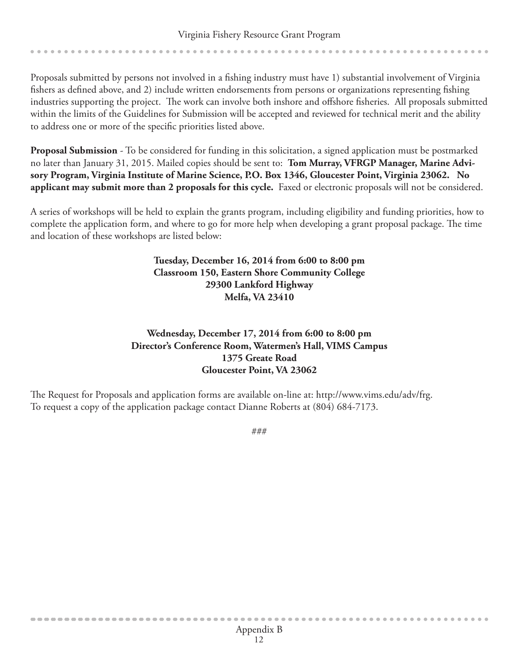Proposals submitted by persons not involved in a fishing industry must have 1) substantial involvement of Virginia fishers as defined above, and 2) include written endorsements from persons or organizations representing fishing industries supporting the project. The work can involve both inshore and offshore fisheries. All proposals submitted within the limits of the Guidelines for Submission will be accepted and reviewed for technical merit and the ability to address one or more of the specific priorities listed above.

**Proposal Submission** - To be considered for funding in this solicitation, a signed application must be postmarked no later than January 31, 2015. Mailed copies should be sent to: **Tom Murray, VFRGP Manager, Marine Advisory Program, Virginia Institute of Marine Science, P.O. Box 1346, Gloucester Point, Virginia 23062. No applicant may submit more than 2 proposals for this cycle.** Faxed or electronic proposals will not be considered.

A series of workshops will be held to explain the grants program, including eligibility and funding priorities, how to complete the application form, and where to go for more help when developing a grant proposal package. The time and location of these workshops are listed below:

> **Tuesday, December 16, 2014 from 6:00 to 8:00 pm Classroom 150, Eastern Shore Community College 29300 Lankford Highway Melfa, VA 23410**

## **Wednesday, December 17, 2014 from 6:00 to 8:00 pm Director's Conference Room, Watermen's Hall, VIMS Campus 1375 Greate Road Gloucester Point, VA 23062**

The Request for Proposals and application forms are available on-line at: http://www.vims.edu/adv/frg. To request a copy of the application package contact Dianne Roberts at (804) 684-7173.

###

----------------------

........................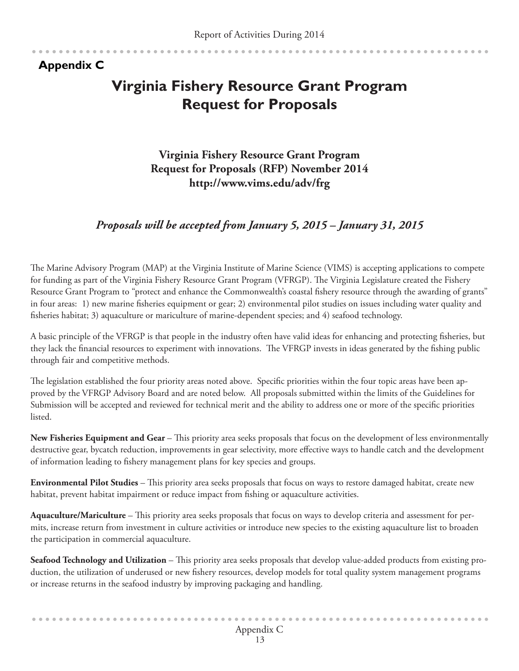# **Appendix C**

----------

# **Virginia Fishery Resource Grant Program Request for Proposals**

**Virginia Fishery Resource Grant Program Request for Proposals (RFP) November 2014 http://www.vims.edu/adv/frg**

# *Proposals will be accepted from January 5, 2015 – January 31, 2015*

The Marine Advisory Program (MAP) at the Virginia Institute of Marine Science (VIMS) is accepting applications to compete for funding as part of the Virginia Fishery Resource Grant Program (VFRGP). The Virginia Legislature created the Fishery Resource Grant Program to "protect and enhance the Commonwealth's coastal fishery resource through the awarding of grants" in four areas: 1) new marine fisheries equipment or gear; 2) environmental pilot studies on issues including water quality and fisheries habitat; 3) aquaculture or mariculture of marine-dependent species; and 4) seafood technology.

A basic principle of the VFRGP is that people in the industry often have valid ideas for enhancing and protecting fisheries, but they lack the financial resources to experiment with innovations. The VFRGP invests in ideas generated by the fishing public through fair and competitive methods.

The legislation established the four priority areas noted above. Specific priorities within the four topic areas have been approved by the VFRGP Advisory Board and are noted below. All proposals submitted within the limits of the Guidelines for Submission will be accepted and reviewed for technical merit and the ability to address one or more of the specific priorities listed.

**New Fisheries Equipment and Gear** – This priority area seeks proposals that focus on the development of less environmentally destructive gear, bycatch reduction, improvements in gear selectivity, more effective ways to handle catch and the development of information leading to fishery management plans for key species and groups.

**Environmental Pilot Studies** – This priority area seeks proposals that focus on ways to restore damaged habitat, create new habitat, prevent habitat impairment or reduce impact from fishing or aquaculture activities.

**Aquaculture/Mariculture** – This priority area seeks proposals that focus on ways to develop criteria and assessment for permits, increase return from investment in culture activities or introduce new species to the existing aquaculture list to broaden the participation in commercial aquaculture.

**Seafood Technology and Utilization** – This priority area seeks proposals that develop value-added products from existing production, the utilization of underused or new fishery resources, develop models for total quality system management programs or increase returns in the seafood industry by improving packaging and handling.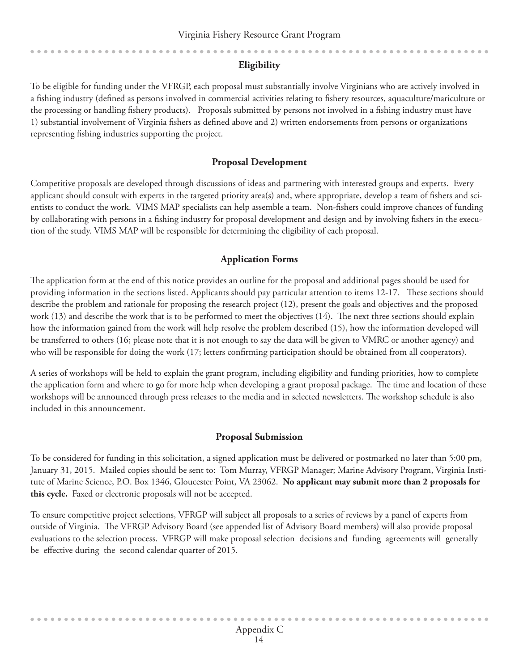## **Eligibility**

To be eligible for funding under the VFRGP, each proposal must substantially involve Virginians who are actively involved in a fishing industry (defined as persons involved in commercial activities relating to fishery resources, aquaculture/mariculture or the processing or handling fishery products). Proposals submitted by persons not involved in a fishing industry must have 1) substantial involvement of Virginia fishers as defined above and 2) written endorsements from persons or organizations representing fishing industries supporting the project.

#### **Proposal Development**

Competitive proposals are developed through discussions of ideas and partnering with interested groups and experts. Every applicant should consult with experts in the targeted priority area(s) and, where appropriate, develop a team of fishers and scientists to conduct the work. VIMS MAP specialists can help assemble a team. Non-fishers could improve chances of funding by collaborating with persons in a fishing industry for proposal development and design and by involving fishers in the execution of the study. VIMS MAP will be responsible for determining the eligibility of each proposal.

#### **Application Forms**

The application form at the end of this notice provides an outline for the proposal and additional pages should be used for providing information in the sections listed. Applicants should pay particular attention to items 12-17. These sections should describe the problem and rationale for proposing the research project (12), present the goals and objectives and the proposed work (13) and describe the work that is to be performed to meet the objectives (14). The next three sections should explain how the information gained from the work will help resolve the problem described (15), how the information developed will be transferred to others (16; please note that it is not enough to say the data will be given to VMRC or another agency) and who will be responsible for doing the work (17; letters confirming participation should be obtained from all cooperators).

A series of workshops will be held to explain the grant program, including eligibility and funding priorities, how to complete the application form and where to go for more help when developing a grant proposal package. The time and location of these workshops will be announced through press releases to the media and in selected newsletters. The workshop schedule is also included in this announcement.

#### **Proposal Submission**

To be considered for funding in this solicitation, a signed application must be delivered or postmarked no later than 5:00 pm, January 31, 2015. Mailed copies should be sent to: Tom Murray, VFRGP Manager; Marine Advisory Program, Virginia Institute of Marine Science, P.O. Box 1346, Gloucester Point, VA 23062. **No applicant may submit more than 2 proposals for this cycle.** Faxed or electronic proposals will not be accepted.

To ensure competitive project selections, VFRGP will subject all proposals to a series of reviews by a panel of experts from outside of Virginia. The VFRGP Advisory Board (see appended list of Advisory Board members) will also provide proposal evaluations to the selection process. VFRGP will make proposal selection decisions and funding agreements will generally be effective during the second calendar quarter of 2015.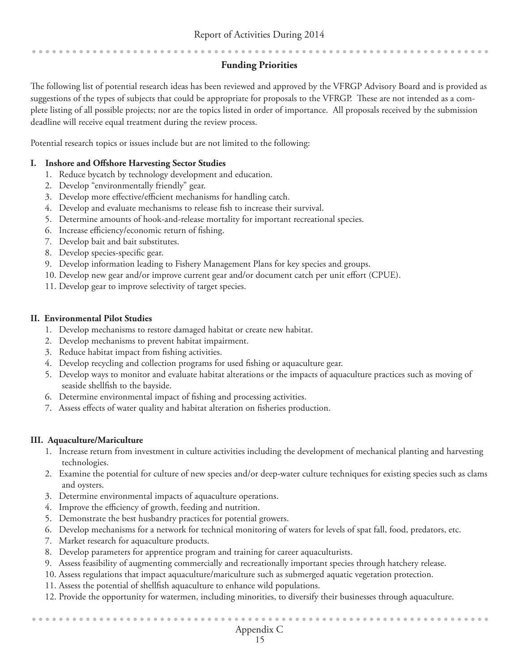#### **Funding Priorities**

The following list of potential research ideas has been reviewed and approved by the VFRGP Advisory Board and is provided as suggestions of the types of subjects that could be appropriate for proposals to the VFRGP. These are not intended as a complete listing of all possible projects; nor are the topics listed in order of importance. All proposals received by the submission deadline will receive equal treatment during the review process.

Potential research topics or issues include but are not limited to the following:

#### **I. Inshore and Offshore Harvesting Sector Studies**

- 1. Reduce bycatch by technology development and education.
- 2. Develop "environmentally friendly" gear.
- 3. Develop more effective/efficient mechanisms for handling catch.
- 4. Develop and evaluate mechanisms to release fish to increase their survival.
- 5. Determine amounts of hook-and-release mortality for important recreational species.
- 6. Increase efficiency/economic return of fishing.
- 7. Develop bait and bait substitutes.
- 8. Develop species-specific gear.
- 9. Develop information leading to Fishery Management Plans for key species and groups.
- 10. Develop new gear and/or improve current gear and/or document catch per unit effort (CPUE).
- 11. Develop gear to improve selectivity of target species.

#### **II. Environmental Pilot Studies**

- 1. Develop mechanisms to restore damaged habitat or create new habitat.
- 2. Develop mechanisms to prevent habitat impairment.
- 3. Reduce habitat impact from fishing activities.
- 4. Develop recycling and collection programs for used fishing or aquaculture gear.
- 5. Develop ways to monitor and evaluate habitat alterations or the impacts of aquaculture practices such as moving of seaside shellfish to the bayside.
- 6. Determine environmental impact of fishing and processing activities.
- 7. Assess effects of water quality and habitat alteration on fisheries production.

#### **III. Aquaculture/Mariculture**

- 1. Increase return from investment in culture activities including the development of mechanical planting and harvesting technologies.
- 2. Examine the potential for culture of new species and/or deep-water culture techniques for existing species such as clams and oysters.
- 3. Determine environmental impacts of aquaculture operations.
- 4. Improve the efficiency of growth, feeding and nutrition.
- 5. Demonstrate the best husbandry practices for potential growers.
- 6. Develop mechanisms for a network for technical monitoring of waters for levels of spat fall, food, predators, etc.
- 7. Market research for aquaculture products.
- 8. Develop parameters for apprentice program and training for career aquaculturists.
- 9. Assess feasibility of augmenting commercially and recreationally important species through hatchery release.
- 10. Assess regulations that impact aquaculture/mariculture such as submerged aquatic vegetation protection.
- 11. Assess the potential of shellfish aquaculture to enhance wild populations.
- 12. Provide the opportunity for watermen, including minorities, to diversify their businesses through aquaculture.

...............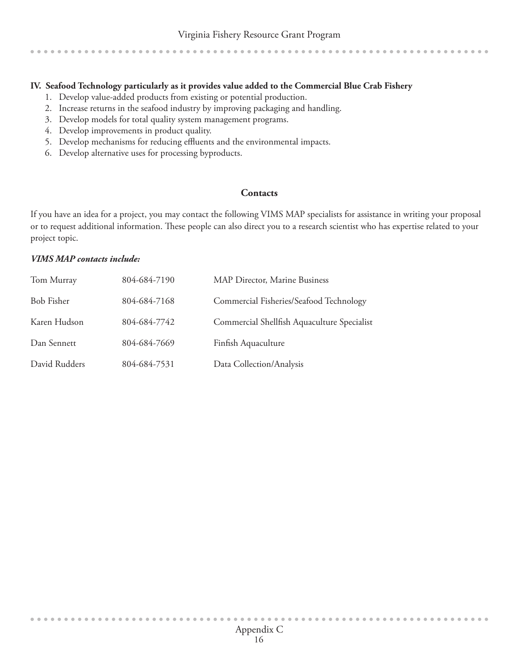#### **IV. Seafood Technology particularly as it provides value added to the Commercial Blue Crab Fishery**

- 1. Develop value-added products from existing or potential production.
- 2. Increase returns in the seafood industry by improving packaging and handling.
- 3. Develop models for total quality system management programs.
- 4. Develop improvements in product quality.
- 5. Develop mechanisms for reducing effluents and the environmental impacts.
- 6. Develop alternative uses for processing byproducts.

#### **Contacts**

If you have an idea for a project, you may contact the following VIMS MAP specialists for assistance in writing your proposal or to request additional information. These people can also direct you to a research scientist who has expertise related to your project topic.

#### *VIMS MAP contacts include:*

| Tom Murray    | 804-684-7190 | MAP Director, Marine Business               |
|---------------|--------------|---------------------------------------------|
| Bob Fisher    | 804-684-7168 | Commercial Fisheries/Seafood Technology     |
| Karen Hudson  | 804-684-7742 | Commercial Shellfish Aquaculture Specialist |
| Dan Sennett   | 804-684-7669 | Finfish Aquaculture                         |
| David Rudders | 804-684-7531 | Data Collection/Analysis                    |

 $\sim$  $\sim$  $\sim$  $\sim$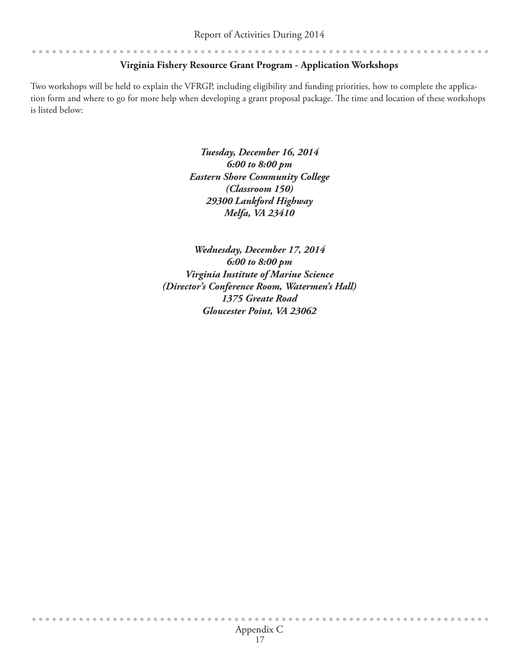# **Virginia Fishery Resource Grant Program - Application Workshops**

Two workshops will be held to explain the VFRGP, including eligibility and funding priorities, how to complete the application form and where to go for more help when developing a grant proposal package. The time and location of these workshops is listed below:

> *Tuesday, December 16, 2014 6:00 to 8:00 pm Eastern Shore Community College (Classroom 150) 29300 Lankford Highway Melfa, VA 23410*

*Wednesday, December 17, 2014 6:00 to 8:00 pm Virginia Institute of Marine Science (Director's Conference Room, Watermen's Hall) 1375 Greate Road Gloucester Point, VA 23062*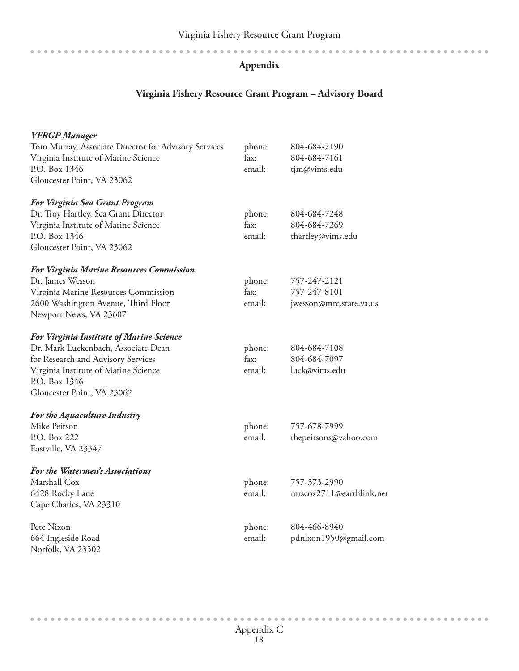$-0.00$ 

 $\sim$ 

 $\bullet$ 

# **Appendix**

 $\Delta$ 

 $\sim$ 

 $\sim$  $\sim$   $\sim$ 

#### **Virginia Fishery Resource Grant Program – Advisory Board**

| <b>VFRGP</b> Manager                                 |        |                          |
|------------------------------------------------------|--------|--------------------------|
| Tom Murray, Associate Director for Advisory Services | phone: | 804-684-7190             |
| Virginia Institute of Marine Science                 | fax:   | 804-684-7161             |
| P.O. Box 1346                                        | email: | tjm@vims.edu             |
| Gloucester Point, VA 23062                           |        |                          |
| <b>For Virginia Sea Grant Program</b>                |        |                          |
| Dr. Troy Hartley, Sea Grant Director                 | phone: | 804-684-7248             |
| Virginia Institute of Marine Science                 | fax:   | 804-684-7269             |
| P.O. Box 1346                                        | email: | thartley@vims.edu        |
| Gloucester Point, VA 23062                           |        |                          |
| <b>For Virginia Marine Resources Commission</b>      |        |                          |
| Dr. James Wesson                                     | phone: | 757-247-2121             |
| Virginia Marine Resources Commission                 | fax:   | 757-247-8101             |
| 2600 Washington Avenue, Third Floor                  | email: | jwesson@mrc.state.va.us  |
| Newport News, VA 23607                               |        |                          |
| For Virginia Institute of Marine Science             |        |                          |
| Dr. Mark Luckenbach, Associate Dean                  | phone: | 804-684-7108             |
| for Research and Advisory Services                   | fax:   | 804-684-7097             |
| Virginia Institute of Marine Science                 | email: | luck@vims.edu            |
| P.O. Box 1346                                        |        |                          |
| Gloucester Point, VA 23062                           |        |                          |
| <b>For the Aquaculture Industry</b>                  |        |                          |
| Mike Peirson                                         | phone: | 757-678-7999             |
| P.O. Box 222                                         | email: | thepeirsons@yahoo.com    |
| Eastville, VA 23347                                  |        |                          |
| For the Watermen's Associations                      |        |                          |
| Marshall Cox                                         | phone: | 757-373-2990             |
| 6428 Rocky Lane                                      | email: | mrscox2711@earthlink.net |
| Cape Charles, VA 23310                               |        |                          |
| Pete Nixon                                           | phone: | 804-466-8940             |
| 664 Ingleside Road                                   | email: | pdnixon1950@gmail.com    |
| Norfolk, VA 23502                                    |        |                          |

. . . . . . . . . .

 $\Delta$  $\overline{a}$   $\sim$  $\overline{a}$  $\sim$  $\triangle$  $\blacksquare$  $\sim$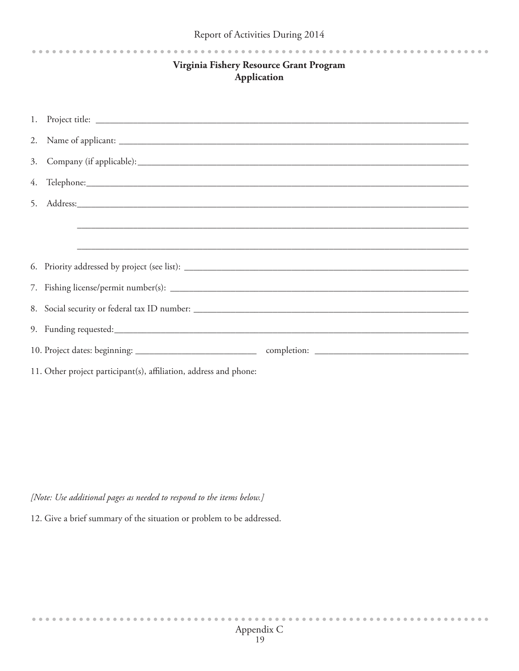$\alpha$  ,  $\alpha$ 

| Virginia Fishery Resource Grant Program |
|-----------------------------------------|
| Application                             |

|    | 1. Project title: |  |  |
|----|-------------------|--|--|
|    |                   |  |  |
|    |                   |  |  |
|    |                   |  |  |
| 5. |                   |  |  |
|    |                   |  |  |
|    |                   |  |  |
|    |                   |  |  |
|    |                   |  |  |
|    |                   |  |  |
|    |                   |  |  |
|    |                   |  |  |

11. Other project participant(s), affiliation, address and phone:

*[Note: Use additional pages as needed to respond to the items below.]*

12. Give a brief summary of the situation or problem to be addressed.

 $\overline{a}$  $\Delta$  $\sim$  $\sim$  $\Delta$  $\Delta$  $\Delta$  $\overline{a}$  $\overline{a}$  $\overline{a}$  $\sim$  $\Delta$  $\overline{a}$  $\overline{a}$  $\overline{a}$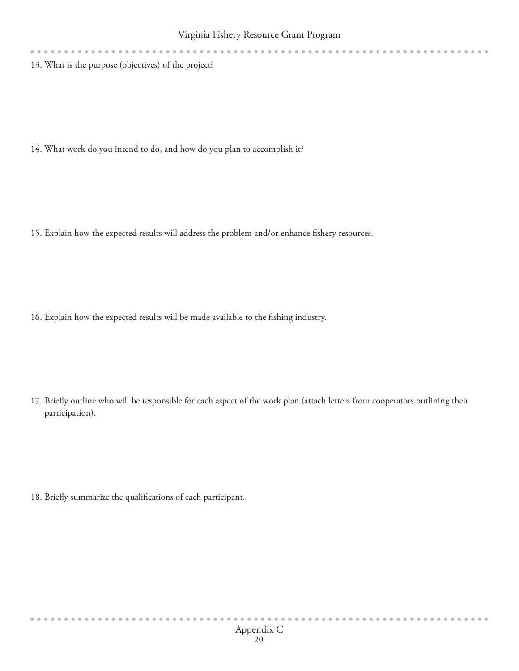13. What is the purpose (objectives) of the project?

 $\bullet$   $\bullet$   $\bullet$ 

14. What work do you intend to do, and how do you plan to accomplish it?

15. Explain how the expected results will address the problem and/or enhance fishery resources.

16. Explain how the expected results will be made available to the fishing industry.

17. Briefly outline who will be responsible for each aspect of the work plan (attach letters from cooperators outlining their participation).

18. Briefly summarize the qualifications of each participant.

 $\sim$   $\sim$   $\sim$   $\sim$ 

 $\Delta$ 

 $\sim$ 

 $\overline{a}$  $\overline{a}$  $\overline{a}$   $\overline{a}$  $\overline{a}$  $\blacksquare$  $\overline{a}$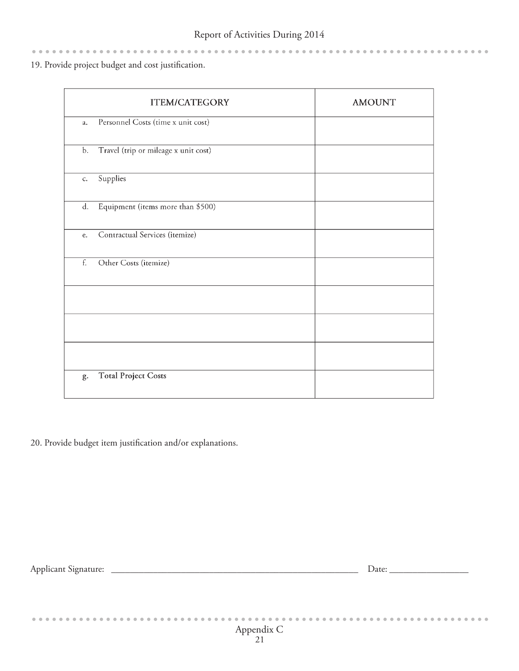19. Provide project budget and cost justification.

 $\sim$ 

 $\begin{array}{cccccccccccccc} \bullet & \bullet & \bullet & \bullet & \bullet & \bullet & \bullet \end{array}$ 

| <b>ITEM/CATEGORY</b>                                  | <b>AMOUNT</b> |
|-------------------------------------------------------|---------------|
| Personnel Costs (time x unit cost)<br>a.              |               |
| Travel (trip or mileage x unit cost)<br>$\mathbf b$ . |               |
| Supplies<br>$C_{\star}$                               |               |
| Equipment (items more than \$500)<br>d.               |               |
| Contractual Services (itemize)<br>e.                  |               |
| f.<br>Other Costs (itemize)                           |               |
|                                                       |               |
|                                                       |               |
|                                                       |               |
| <b>Total Project Costs</b><br>g.                      |               |

20. Provide budget item justification and/or explanations.

Applicant Signature: \_\_\_\_\_\_\_\_\_\_\_\_\_\_\_\_\_\_\_\_\_\_\_\_\_\_\_\_\_\_\_\_\_\_\_\_\_\_\_\_\_\_\_\_\_\_\_\_\_\_\_\_\_ Date: \_\_\_\_\_\_\_\_\_\_\_\_\_\_\_\_\_

 $\sim$  $\sim$ 

 $\sim$ 

 $-0.00000$  $\sim$  $\Delta$  $\overline{a}$  $\overline{a}$  $\overline{a}$ 

 $\sim$  $\overline{a}$  $\overline{a}$  $\overline{a}$  $\blacksquare$  $\overline{a}$ 

 $\sim$ 

. . . . . . . . . . . . . . . .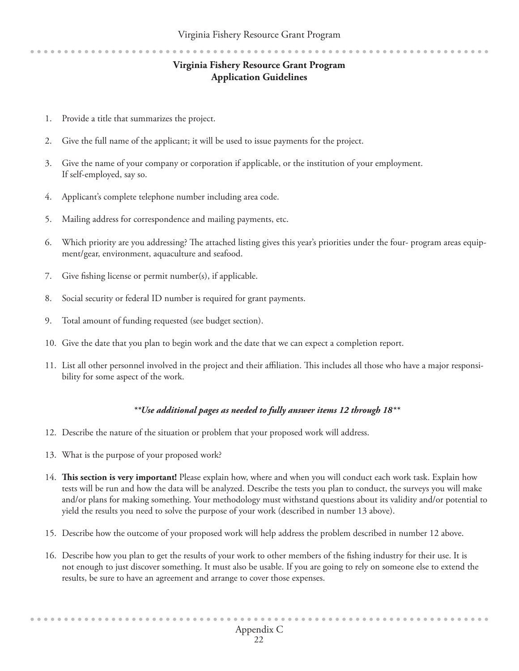### **Virginia Fishery Resource Grant Program Application Guidelines**

- 1. Provide a title that summarizes the project.
- 2. Give the full name of the applicant; it will be used to issue payments for the project.
- 3. Give the name of your company or corporation if applicable, or the institution of your employment. If self-employed, say so.
- 4. Applicant's complete telephone number including area code.
- 5. Mailing address for correspondence and mailing payments, etc.
- 6. Which priority are you addressing? The attached listing gives this year's priorities under the four- program areas equipment/gear, environment, aquaculture and seafood.
- 7. Give fishing license or permit number(s), if applicable.
- 8. Social security or federal ID number is required for grant payments.
- 9. Total amount of funding requested (see budget section).
- 10. Give the date that you plan to begin work and the date that we can expect a completion report.
- 11. List all other personnel involved in the project and their affiliation. This includes all those who have a major responsibility for some aspect of the work.

#### *\*\*Use additional pages as needed to fully answer items 12 through 18\*\**

- 12. Describe the nature of the situation or problem that your proposed work will address.
- 13. What is the purpose of your proposed work?
- 14. **This section is very important!** Please explain how, where and when you will conduct each work task. Explain how tests will be run and how the data will be analyzed. Describe the tests you plan to conduct, the surveys you will make and/or plans for making something. Your methodology must withstand questions about its validity and/or potential to yield the results you need to solve the purpose of your work (described in number 13 above).
- 15. Describe how the outcome of your proposed work will help address the problem described in number 12 above.
- 16. Describe how you plan to get the results of your work to other members of the fishing industry for their use. It is not enough to just discover something. It must also be usable. If you are going to rely on someone else to extend the results, be sure to have an agreement and arrange to cover those expenses.

 $\alpha$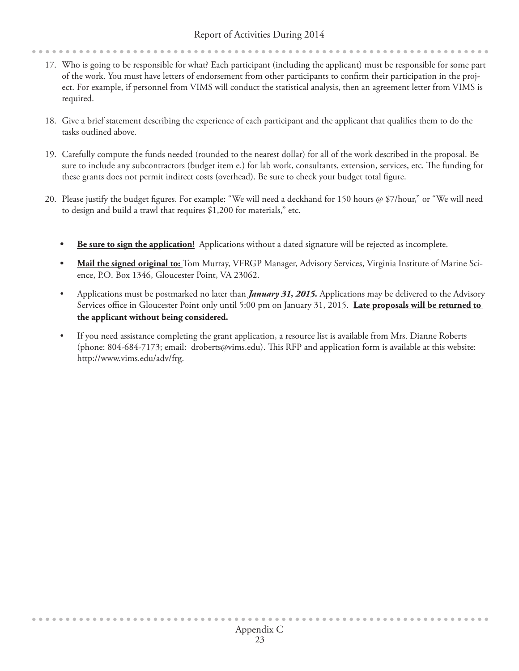- 17. Who is going to be responsible for what? Each participant (including the applicant) must be responsible for some part of the work. You must have letters of endorsement from other participants to confirm their participation in the project. For example, if personnel from VIMS will conduct the statistical analysis, then an agreement letter from VIMS is required.
- 18. Give a brief statement describing the experience of each participant and the applicant that qualifies them to do the tasks outlined above.
- 19. Carefully compute the funds needed (rounded to the nearest dollar) for all of the work described in the proposal. Be sure to include any subcontractors (budget item e.) for lab work, consultants, extension, services, etc. The funding for these grants does not permit indirect costs (overhead). Be sure to check your budget total figure.
- 20. Please justify the budget figures. For example: "We will need a deckhand for 150 hours @ \$7/hour," or "We will need to design and build a trawl that requires \$1,200 for materials," etc.
	- **Be sure to sign the application!** Applications without a dated signature will be rejected as incomplete.
	- **Mail the signed original to:** Tom Murray, VFRGP Manager, Advisory Services, Virginia Institute of Marine Science, P.O. Box 1346, Gloucester Point, VA 23062.
	- Applications must be postmarked no later than *January 31, 2015*. Applications may be delivered to the Advisory Services office in Gloucester Point only until 5:00 pm on January 31, 2015. **Late proposals will be returned to the applicant without being considered.**
	- If you need assistance completing the grant application, a resource list is available from Mrs. Dianne Roberts (phone: 804-684-7173; email: droberts@vims.edu). This RFP and application form is available at this website: http://www.vims.edu/adv/frg.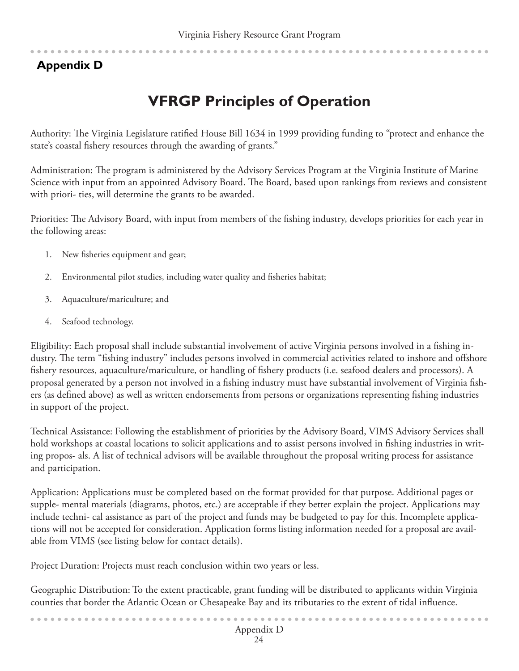# **Appendix D**

# **VFRGP Principles of Operation**

Authority: The Virginia Legislature ratified House Bill 1634 in 1999 providing funding to "protect and enhance the state's coastal fishery resources through the awarding of grants."

Administration: The program is administered by the Advisory Services Program at the Virginia Institute of Marine Science with input from an appointed Advisory Board. The Board, based upon rankings from reviews and consistent with priori- ties, will determine the grants to be awarded.

Priorities: The Advisory Board, with input from members of the fishing industry, develops priorities for each year in the following areas:

- 1. New fisheries equipment and gear;
- 2. Environmental pilot studies, including water quality and fisheries habitat;
- 3. Aquaculture/mariculture; and
- 4. Seafood technology.

Eligibility: Each proposal shall include substantial involvement of active Virginia persons involved in a fishing industry. The term "fishing industry" includes persons involved in commercial activities related to inshore and offshore fishery resources, aquaculture/mariculture, or handling of fishery products (i.e. seafood dealers and processors). A proposal generated by a person not involved in a fishing industry must have substantial involvement of Virginia fishers (as defined above) as well as written endorsements from persons or organizations representing fishing industries in support of the project.

Technical Assistance: Following the establishment of priorities by the Advisory Board, VIMS Advisory Services shall hold workshops at coastal locations to solicit applications and to assist persons involved in fishing industries in writing propos- als. A list of technical advisors will be available throughout the proposal writing process for assistance and participation.

Application: Applications must be completed based on the format provided for that purpose. Additional pages or supple- mental materials (diagrams, photos, etc.) are acceptable if they better explain the project. Applications may include techni- cal assistance as part of the project and funds may be budgeted to pay for this. Incomplete applications will not be accepted for consideration. Application forms listing information needed for a proposal are available from VIMS (see listing below for contact details).

Project Duration: Projects must reach conclusion within two years or less.

........................

Geographic Distribution: To the extent practicable, grant funding will be distributed to applicants within Virginia counties that border the Atlantic Ocean or Chesapeake Bay and its tributaries to the extent of tidal influence.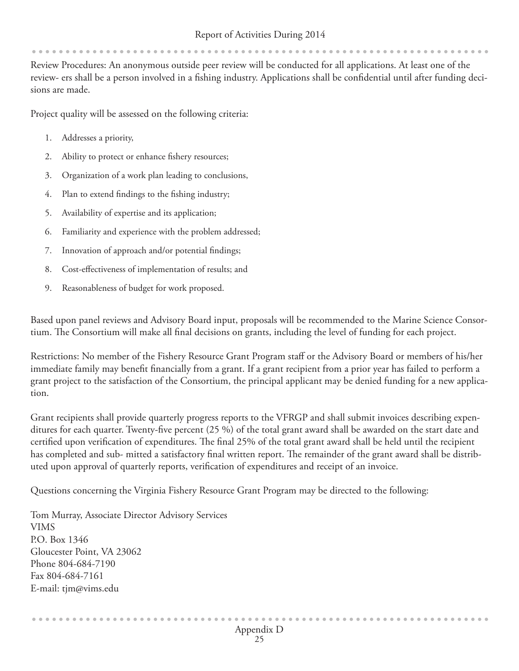Review Procedures: An anonymous outside peer review will be conducted for all applications. At least one of the review- ers shall be a person involved in a fishing industry. Applications shall be confidential until after funding decisions are made.

Project quality will be assessed on the following criteria:

- 1. Addresses a priority,
- 2. Ability to protect or enhance fishery resources;
- 3. Organization of a work plan leading to conclusions,
- 4. Plan to extend findings to the fishing industry;
- 5. Availability of expertise and its application;
- 6. Familiarity and experience with the problem addressed;
- 7. Innovation of approach and/or potential findings;
- 8. Cost-effectiveness of implementation of results; and
- 9. Reasonableness of budget for work proposed.

Based upon panel reviews and Advisory Board input, proposals will be recommended to the Marine Science Consortium. The Consortium will make all final decisions on grants, including the level of funding for each project.

Restrictions: No member of the Fishery Resource Grant Program staff or the Advisory Board or members of his/her immediate family may benefit financially from a grant. If a grant recipient from a prior year has failed to perform a grant project to the satisfaction of the Consortium, the principal applicant may be denied funding for a new application.

Grant recipients shall provide quarterly progress reports to the VFRGP and shall submit invoices describing expenditures for each quarter. Twenty-five percent (25 %) of the total grant award shall be awarded on the start date and certified upon verification of expenditures. The final 25% of the total grant award shall be held until the recipient has completed and sub- mitted a satisfactory final written report. The remainder of the grant award shall be distributed upon approval of quarterly reports, verification of expenditures and receipt of an invoice.

Questions concerning the Virginia Fishery Resource Grant Program may be directed to the following:

Tom Murray, Associate Director Advisory Services VIMS P.O. Box 1346 Gloucester Point, VA 23062 Phone 804-684-7190 Fax 804-684-7161 E-mail: tjm@vims.edu

----------